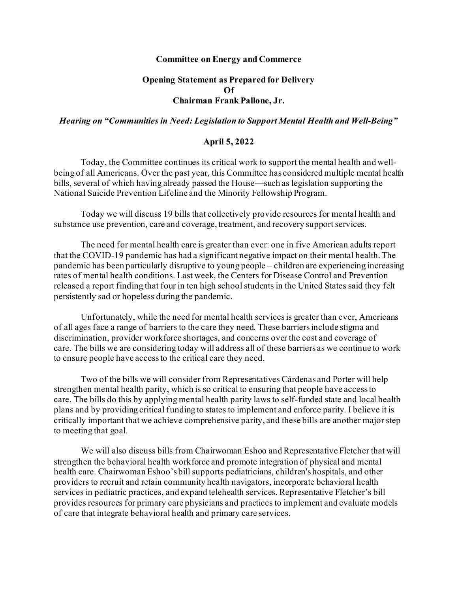## **Committee on Energy and Commerce**

## **Opening Statement as Prepared for Delivery Of Chairman Frank Pallone, Jr.**

## *Hearing on "Communities in Need: Legislation to Support Mental Health and Well-Being"*

## **April 5, 2022**

Today, the Committee continues its critical work to support the mental health and wellbeing of all Americans. Over the past year, this Committee has considered multiple mental health bills, several of which having already passed the House—such as legislation supporting the National Suicide Prevention Lifeline and the Minority Fellowship Program.

Today we will discuss 19 bills that collectively provide resources for mental health and substance use prevention, care and coverage, treatment, and recovery support services.

The need for mental health care is greater than ever: one in five American adults report that the COVID-19 pandemic has had a significant negative impact on their mental health.The pandemic has been particularly disruptive to young people – children are experiencing increasing rates of mental health conditions. Last week, the Centers for Disease Control and Prevention released a report finding that four in ten high school students in the United States said they felt persistently sad or hopeless during the pandemic.

Unfortunately, while the need for mental health services is greater than ever, Americans of all ages face a range of barriers to the care they need. These barriers include stigma and discrimination, provider workforce shortages, and concerns over the cost and coverage of care. The bills we are considering today will address all of these barriers as we continue to work to ensure people have access to the critical care they need.

Two of the bills we will consider from Representatives Cárdenas and Porter will help strengthen mental health parity, which is so critical to ensuring that people have access to care. The bills do this by applying mental health parity laws to self-funded state and local health plans and by providing critical funding to states to implement and enforce parity. I believe it is critically important that we achieve comprehensive parity, and these bills are another major step to meeting that goal.

We will also discuss bills from Chairwoman Eshoo and Representative Fletcher that will strengthen the behavioral health workforce and promote integration of physical and mental health care. Chairwoman Eshoo's bill supports pediatricians, children's hospitals, and other providers to recruit and retain community health navigators, incorporate behavioral health services in pediatric practices, and expand telehealth services. Representative Fletcher's bill provides resources for primary care physicians and practices to implement and evaluate models of care that integrate behavioral health and primary care services.